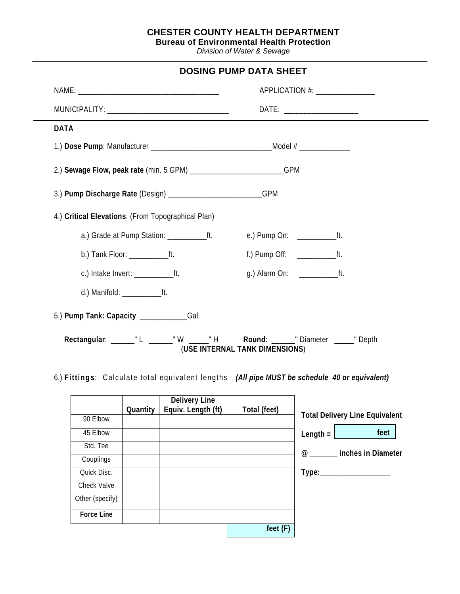## **CHESTER COUNTY HEALTH DEPARTMENT**

| <b>Bureau of Environmental Health Protection</b> |  |
|--------------------------------------------------|--|
|--------------------------------------------------|--|

*Division of Water & Sewage*

| <b>DOSING PUMP DATA SHEET</b>                                                                                    |                                  |  |  |  |  |
|------------------------------------------------------------------------------------------------------------------|----------------------------------|--|--|--|--|
|                                                                                                                  | APPLICATION #: _________________ |  |  |  |  |
|                                                                                                                  | $DATE:$ ______________________   |  |  |  |  |
| <b>DATA</b>                                                                                                      |                                  |  |  |  |  |
|                                                                                                                  |                                  |  |  |  |  |
| 2.) Sewage Flow, peak rate (min. 5 GPM) _____________________________GPM                                         |                                  |  |  |  |  |
| 3.) Pump Discharge Rate (Design) _________________________GPM                                                    |                                  |  |  |  |  |
| 4.) Critical Elevations: (From Topographical Plan)                                                               |                                  |  |  |  |  |
|                                                                                                                  | e.) Pump On: ________________ft. |  |  |  |  |
|                                                                                                                  |                                  |  |  |  |  |
|                                                                                                                  |                                  |  |  |  |  |
|                                                                                                                  |                                  |  |  |  |  |
| 5.) Pump Tank: Capacity ______________Gal.                                                                       |                                  |  |  |  |  |
| Rectangular: _______"L _______"W ______"H Round: _______"Diameter ______"Depth<br>(USE INTERNAL TANK DIMENSIONS) |                                  |  |  |  |  |

6.) **Fittings**: Calculate total equivalent lengths *(All pipe MUST be schedule 40 or equivalent)*

|                   | Quantity | <b>Delivery Line</b><br>Equiv. Length (ft) | Total (feet) |                                       |
|-------------------|----------|--------------------------------------------|--------------|---------------------------------------|
| 90 Elbow          |          |                                            |              | <b>Total Delivery Line Equivalent</b> |
| 45 Elbow          |          |                                            |              | feet<br>Length $=$                    |
| Std. Tee          |          |                                            |              | <b><i>@</i></b> inches in Diameter    |
| Couplings         |          |                                            |              |                                       |
| Quick Disc.       |          |                                            |              | Type:_____________________            |
| Check Valve       |          |                                            |              |                                       |
| Other (specify)   |          |                                            |              |                                       |
| <b>Force Line</b> |          |                                            |              |                                       |
|                   |          |                                            | feet(F)      |                                       |